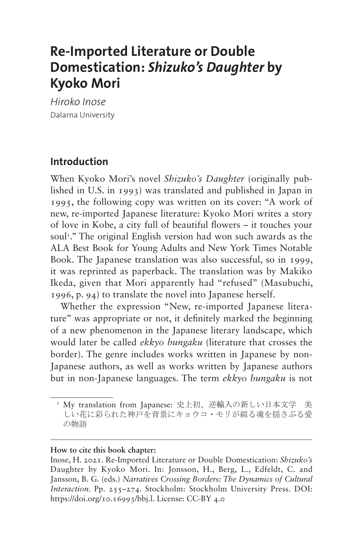# **Re-Imported Literature or Double Domestication:** *Shizuko's Daughter* **by Kyoko Mori**

*Hiroko Inose* Dalarna University

#### **Introduction**

When Kyoko Mori's novel *Shizuko's Daughter* (originally published in U.S. in 1993) was translated and published in Japan in 1995, the following copy was written on its cover: "A work of new, re-imported Japanese literature: Kyoko Mori writes a story of love in Kobe, a city full of beautiful flowers – it touches your soul<sup>1</sup>." The original English version had won such awards as the ALA Best Book for Young Adults and New York Times Notable Book. The Japanese translation was also successful, so in 1999, it was reprinted as paperback. The translation was by Makiko Ikeda, given that Mori apparently had "refused" (Masubuchi, 1996, p. 94) to translate the novel into Japanese herself.

Whether the expression "New, re-imported Japanese literature" was appropriate or not, it definitely marked the beginning of a new phenomenon in the Japanese literary landscape, which would later be called *ekkyo bungaku* (literature that crosses the border). The genre includes works written in Japanese by non-Japanese authors, as well as works written by Japanese authors but in non-Japanese languages. The term *ekkyo bungaku* is not

#### **How to cite this book chapter:**

Inose, H. 2021. Re-Imported Literature or Double Domestication: *Shizuko's* Daughter by Kyoko Mori. In: Jonsson, H., Berg, L., Edfeldt, C. and Jansson, B. G. (eds.) *Narratives Crossing Borders: The Dynamics of Cultural Interaction.* Pp. 255–274. Stockholm: Stockholm University Press. DOI: [https://doi.org/10.16993/bbj.l.](https://doi.org/10.16993/bbj.l) License: CC-BY 4.0

<span id="page-0-0"></span><sup>1</sup> My translation from Japanese: 史上初、逆輸入の新しい日本文学 美 しい花に彩られた神戸を背景にキョウコ・モリが綴る魂を揺さぶる愛 の物語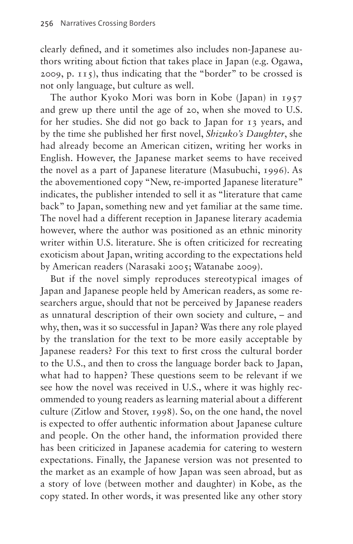clearly defined, and it sometimes also includes non-Japanese authors writing about fiction that takes place in Japan (e.g. Ogawa, 2009, p. 115), thus indicating that the "border" to be crossed is not only language, but culture as well.

The author Kyoko Mori was born in Kobe (Japan) in 1957 and grew up there until the age of 20, when she moved to U.S. for her studies. She did not go back to Japan for 13 years, and by the time she published her first novel, *Shizuko's Daughter*, she had already become an American citizen, writing her works in English. However, the Japanese market seems to have received the novel as a part of Japanese literature (Masubuchi, 1996). As the abovementioned copy "New, re-imported Japanese literature" indicates, the publisher intended to sell it as "literature that came back" to Japan, something new and yet familiar at the same time. The novel had a different reception in Japanese literary academia however, where the author was positioned as an ethnic minority writer within U.S. literature. She is often criticized for recreating exoticism about Japan, writing according to the expectations held by American readers (Narasaki 2005; Watanabe 2009).

But if the novel simply reproduces stereotypical images of Japan and Japanese people held by American readers, as some researchers argue, should that not be perceived by Japanese readers as unnatural description of their own society and culture, – and why, then, was it so successful in Japan? Was there any role played by the translation for the text to be more easily acceptable by Japanese readers? For this text to first cross the cultural border to the U.S., and then to cross the language border back to Japan, what had to happen? These questions seem to be relevant if we see how the novel was received in U.S., where it was highly recommended to young readers as learning material about a different culture (Zitlow and Stover, 1998). So, on the one hand, the novel is expected to offer authentic information about Japanese culture and people. On the other hand, the information provided there has been criticized in Japanese academia for catering to western expectations. Finally, the Japanese version was not presented to the market as an example of how Japan was seen abroad, but as a story of love (between mother and daughter) in Kobe, as the copy stated. In other words, it was presented like any other story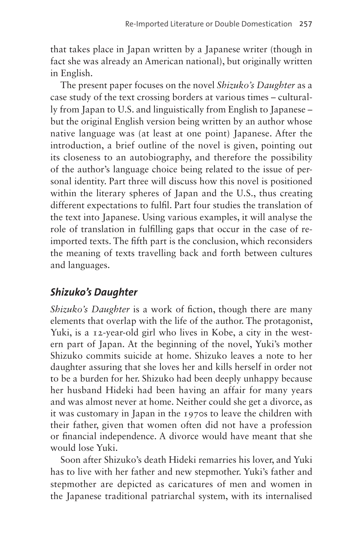that takes place in Japan written by a Japanese writer (though in fact she was already an American national), but originally written in English.

The present paper focuses on the novel *Shizuko's Daughter* as a case study of the text crossing borders at various times – culturally from Japan to U.S. and linguistically from English to Japanese – but the original English version being written by an author whose native language was (at least at one point) Japanese. After the introduction, a brief outline of the novel is given, pointing out its closeness to an autobiography, and therefore the possibility of the author's language choice being related to the issue of personal identity. Part three will discuss how this novel is positioned within the literary spheres of Japan and the U.S., thus creating different expectations to fulfil. Part four studies the translation of the text into Japanese. Using various examples, it will analyse the role of translation in fulfilling gaps that occur in the case of reimported texts. The fifth part is the conclusion, which reconsiders the meaning of texts travelling back and forth between cultures and languages.

## *Shizuko's Daughter*

*Shizuko's Daughter* is a work of fiction, though there are many elements that overlap with the life of the author. The protagonist, Yuki, is a 12-year-old girl who lives in Kobe, a city in the western part of Japan. At the beginning of the novel, Yuki's mother Shizuko commits suicide at home. Shizuko leaves a note to her daughter assuring that she loves her and kills herself in order not to be a burden for her. Shizuko had been deeply unhappy because her husband Hideki had been having an affair for many years and was almost never at home. Neither could she get a divorce, as it was customary in Japan in the 1970s to leave the children with their father, given that women often did not have a profession or financial independence. A divorce would have meant that she would lose Yuki.

Soon after Shizuko's death Hideki remarries his lover, and Yuki has to live with her father and new stepmother. Yuki's father and stepmother are depicted as caricatures of men and women in the Japanese traditional patriarchal system, with its internalised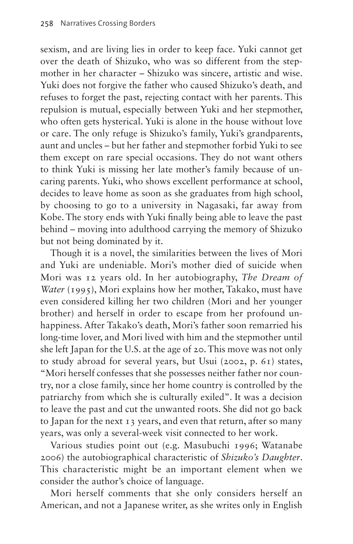sexism, and are living lies in order to keep face. Yuki cannot get over the death of Shizuko, who was so different from the stepmother in her character – Shizuko was sincere, artistic and wise. Yuki does not forgive the father who caused Shizuko's death, and refuses to forget the past, rejecting contact with her parents. This repulsion is mutual, especially between Yuki and her stepmother, who often gets hysterical. Yuki is alone in the house without love or care. The only refuge is Shizuko's family, Yuki's grandparents, aunt and uncles – but her father and stepmother forbid Yuki to see them except on rare special occasions. They do not want others to think Yuki is missing her late mother's family because of uncaring parents. Yuki, who shows excellent performance at school, decides to leave home as soon as she graduates from high school, by choosing to go to a university in Nagasaki, far away from Kobe. The story ends with Yuki finally being able to leave the past behind – moving into adulthood carrying the memory of Shizuko but not being dominated by it.

Though it is a novel, the similarities between the lives of Mori and Yuki are undeniable. Mori's mother died of suicide when Mori was 12 years old. In her autobiography, *The Dream of Water* (1995), Mori explains how her mother, Takako, must have even considered killing her two children (Mori and her younger brother) and herself in order to escape from her profound unhappiness. After Takako's death, Mori's father soon remarried his long-time lover, and Mori lived with him and the stepmother until she left Japan for the U.S. at the age of 20. This move was not only to study abroad for several years, but Usui (2002, p. 61) states, "Mori herself confesses that she possesses neither father nor country, nor a close family, since her home country is controlled by the patriarchy from which she is culturally exiled". It was a decision to leave the past and cut the unwanted roots. She did not go back to Japan for the next 13 years, and even that return, after so many years, was only a several-week visit connected to her work.

Various studies point out (e.g. Masubuchi 1996; Watanabe 2006) the autobiographical characteristic of *Shizuko's Daughter*. This characteristic might be an important element when we consider the author's choice of language.

Mori herself comments that she only considers herself an American, and not a Japanese writer, as she writes only in English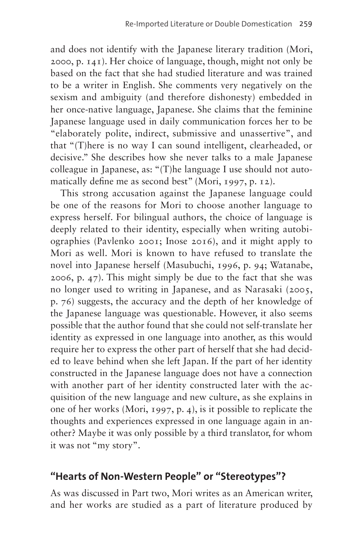and does not identify with the Japanese literary tradition (Mori, 2000, p. 141). Her choice of language, though, might not only be based on the fact that she had studied literature and was trained to be a writer in English. She comments very negatively on the sexism and ambiguity (and therefore dishonesty) embedded in her once-native language, Japanese. She claims that the feminine Japanese language used in daily communication forces her to be "elaborately polite, indirect, submissive and unassertive", and that "(T)here is no way I can sound intelligent, clearheaded, or decisive." She describes how she never talks to a male Japanese colleague in Japanese, as: "(T)he language I use should not automatically define me as second best" (Mori, 1997, p. 12).

This strong accusation against the Japanese language could be one of the reasons for Mori to choose another language to express herself. For bilingual authors, the choice of language is deeply related to their identity, especially when writing autobiographies (Pavlenko 2001; Inose 2016), and it might apply to Mori as well. Mori is known to have refused to translate the novel into Japanese herself (Masubuchi, 1996, p. 94; Watanabe, 2006, p. 47). This might simply be due to the fact that she was no longer used to writing in Japanese, and as Narasaki (2005, p. 76) suggests, the accuracy and the depth of her knowledge of the Japanese language was questionable. However, it also seems possible that the author found that she could not self-translate her identity as expressed in one language into another, as this would require her to express the other part of herself that she had decided to leave behind when she left Japan. If the part of her identity constructed in the Japanese language does not have a connection with another part of her identity constructed later with the acquisition of the new language and new culture, as she explains in one of her works (Mori, 1997, p. 4), is it possible to replicate the thoughts and experiences expressed in one language again in another? Maybe it was only possible by a third translator, for whom it was not "my story".

### **"Hearts of Non-Western People" or "Stereotypes"?**

As was discussed in Part two, Mori writes as an American writer, and her works are studied as a part of literature produced by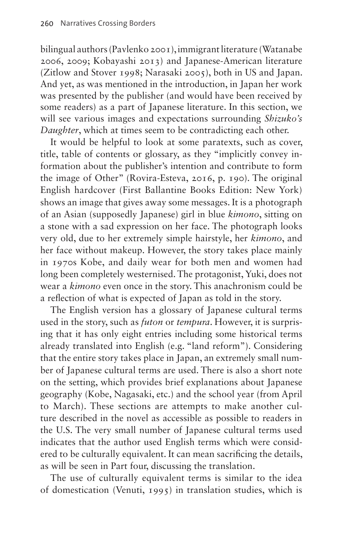bilingual authors (Pavlenko 2001), immigrant literature (Watanabe 2006, 2009; Kobayashi 2013) and Japanese-American literature (Zitlow and Stover 1998; Narasaki 2005), both in US and Japan. And yet, as was mentioned in the introduction, in Japan her work was presented by the publisher (and would have been received by some readers) as a part of Japanese literature. In this section, we will see various images and expectations surrounding *Shizuko's Daughter*, which at times seem to be contradicting each other.

It would be helpful to look at some paratexts, such as cover, title, table of contents or glossary, as they "implicitly convey information about the publisher's intention and contribute to form the image of Other" (Rovira-Esteva, 2016, p. 190). The original English hardcover (First Ballantine Books Edition: New York) shows an image that gives away some messages. It is a photograph of an Asian (supposedly Japanese) girl in blue *kimono*, sitting on a stone with a sad expression on her face. The photograph looks very old, due to her extremely simple hairstyle, her *kimono*, and her face without makeup. However, the story takes place mainly in 1970s Kobe, and daily wear for both men and women had long been completely westernised. The protagonist, Yuki, does not wear a *kimono* even once in the story. This anachronism could be a reflection of what is expected of Japan as told in the story.

The English version has a glossary of Japanese cultural terms used in the story, such as *futon* or *tempura*. However, it is surprising that it has only eight entries including some historical terms already translated into English (e.g. "land reform"). Considering that the entire story takes place in Japan, an extremely small number of Japanese cultural terms are used. There is also a short note on the setting, which provides brief explanations about Japanese geography (Kobe, Nagasaki, etc.) and the school year (from April to March). These sections are attempts to make another culture described in the novel as accessible as possible to readers in the U.S. The very small number of Japanese cultural terms used indicates that the author used English terms which were considered to be culturally equivalent. It can mean sacrificing the details, as will be seen in Part four, discussing the translation.

The use of culturally equivalent terms is similar to the idea of domestication (Venuti, 1995) in translation studies, which is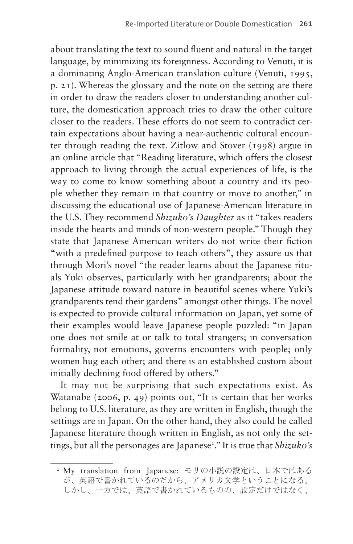about translating the text to sound fluent and natural in the target language, by minimizing its foreignness. According to Venuti, it is a dominating Anglo-American translation culture (Venuti, 1995, p. 21). Whereas the glossary and the note on the setting are there in order to draw the readers closer to understanding another culture, the domestication approach tries to draw the other culture closer to the readers. These efforts do not seem to contradict certain expectations about having a near-authentic cultural encounter through reading the text. Zitlow and Stover (1998) argue in an online article that "Reading literature, which offers the closest approach to living through the actual experiences of life, is the way to come to know something about a country and its people whether they remain in that country or move to another," in discussing the educational use of Japanese-American literature in the U.S. They recommend *Shizuko's Daughter* as it "takes readers inside the hearts and minds of non-western people." Though they state that Japanese American writers do not write their fiction "with a predefined purpose to teach others", they assure us that through Mori's novel "the reader learns about the Japanese rituals Yuki observes, particularly with her grandparents; about the Japanese attitude toward nature in beautiful scenes where Yuki's grandparents tend their gardens" amongst other things. The novel is expected to provide cultural information on Japan, yet some of their examples would leave Japanese people puzzled: "in Japan one does not smile at or talk to total strangers; in conversation formality, not emotions, governs encounters with people; only women hug each other; and there is an established custom about initially declining food offered by others."

It may not be surprising that such expectations exist. As Watanabe (2006, p. 49) points out, "It is certain that her works belong to U.S. literature, as they are written in English, though the settings are in Japan. On the other hand, they also could be called Japanese literature though written in English, as not only the set-tings, but all the personages are Japanese<sup>[2](#page-6-0)</sup>." It is true that *Shizuko's* 

<span id="page-6-0"></span><sup>2</sup> My translation from Japanese: モリの小説の設定は、日本ではある が、英語で書かれているのだから、アメリカ文学ということになる。 しかし、一方では、英語で書かれているものの、設定だけではなく、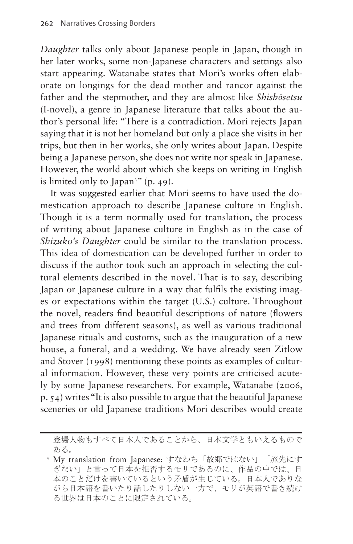*Daughter* talks only about Japanese people in Japan, though in her later works, some non-Japanese characters and settings also start appearing. Watanabe states that Mori's works often elaborate on longings for the dead mother and rancor against the father and the stepmother, and they are almost like *Shishōsetsu*  (I-novel), a genre in Japanese literature that talks about the author's personal life: "There is a contradiction. Mori rejects Japan saying that it is not her homeland but only a place she visits in her trips, but then in her works, she only writes about Japan. Despite being a Japanese person, she does not write nor speak in Japanese. However, the world about which she keeps on writing in English is limited only to Japan<sup>[3](#page-7-0)</sup>" (p. 49).

It was suggested earlier that Mori seems to have used the domestication approach to describe Japanese culture in English. Though it is a term normally used for translation, the process of writing about Japanese culture in English as in the case of *Shizuko's Daughter* could be similar to the translation process. This idea of domestication can be developed further in order to discuss if the author took such an approach in selecting the cultural elements described in the novel. That is to say, describing Japan or Japanese culture in a way that fulfils the existing images or expectations within the target (U.S.) culture. Throughout the novel, readers find beautiful descriptions of nature (flowers and trees from different seasons), as well as various traditional Japanese rituals and customs, such as the inauguration of a new house, a funeral, and a wedding. We have already seen Zitlow and Stover (1998) mentioning these points as examples of cultural information. However, these very points are criticised acutely by some Japanese researchers. For example, Watanabe (2006, p. 54) writes "It is also possible to argue that the beautiful Japanese sceneries or old Japanese traditions Mori describes would create

登場人物もすべて日本人であることから、日本文学ともいえるもので ある。

<span id="page-7-0"></span><sup>3</sup> My translation from Japanese: すなわち「故郷ではない」「旅先にす ぎない」と言って日本を拒否するモリであるのに、作品の中では、日 本のことだけを書いているという矛盾が生じている。日本人でありな がら日本語を書いたり話したりしない一方で、モリが英語で書き続け る世界は日本のことに限定されている。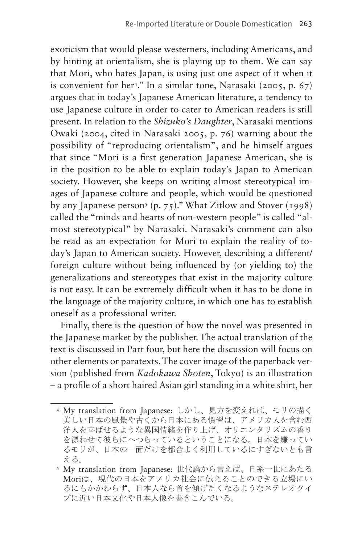exoticism that would please westerners, including Americans, and by hinting at orientalism, she is playing up to them. We can say that Mori, who hates Japan, is using just one aspect of it when it is convenient for he[r4](#page-8-0) ." In a similar tone, Narasaki (2005, p. 67) argues that in today's Japanese American literature, a tendency to use Japanese culture in order to cater to American readers is still present. In relation to the *Shizuko's Daughter*, Narasaki mentions Owaki (2004, cited in Narasaki 2005, p. 76) warning about the possibility of "reproducing orientalism", and he himself argues that since "Mori is a first generation Japanese American, she is in the position to be able to explain today's Japan to American society. However, she keeps on writing almost stereotypical images of Japanese culture and people, which would be questioned by any Japanese person<sup>[5](#page-8-1)</sup> (p. 75)." What Zitlow and Stover (1998) called the "minds and hearts of non-western people" is called "almost stereotypical" by Narasaki. Narasaki's comment can also be read as an expectation for Mori to explain the reality of today's Japan to American society. However, describing a different/ foreign culture without being influenced by (or yielding to) the generalizations and stereotypes that exist in the majority culture is not easy. It can be extremely difficult when it has to be done in the language of the majority culture, in which one has to establish oneself as a professional writer.

Finally, there is the question of how the novel was presented in the Japanese market by the publisher. The actual translation of the text is discussed in Part four, but here the discussion will focus on other elements or paratexts. The cover image of the paperback version (published from *Kadokawa Shoten*, Tokyo) is an illustration – a profile of a short haired Asian girl standing in a white shirt, her

<span id="page-8-0"></span><sup>4</sup> My translation from Japanese: しかし、見方を変えれば、モリの描く 美しい日本の風景や古くから日本にある慣習は、アメリカ人を含む西 洋人を喜ばせるような異国情緒を作り上げ、オリエンタリズムの香り を漂わせて彼らにへつらっているということになる。日本を嫌ってい るモリが、日本の一面だけを都合よく利用しているにすぎないとも言 える。

<span id="page-8-1"></span><sup>5</sup> My translation from Japanese: 世代論から言えば、日系一世にあたる Moriは、現代の日本をアメリカ社会に伝えることのできる立場にい るにもかかわらず、日本人なら首を傾げたくなるようなステレオタイ プに近い日本文化や日本人像を書きこんでいる。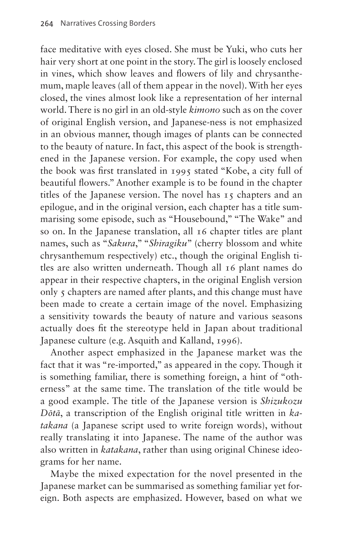face meditative with eyes closed. She must be Yuki, who cuts her hair very short at one point in the story. The girl is loosely enclosed in vines, which show leaves and flowers of lily and chrysanthemum, maple leaves (all of them appear in the novel). With her eyes closed, the vines almost look like a representation of her internal world. There is no girl in an old-style *kimono* such as on the cover of original English version, and Japanese-ness is not emphasized in an obvious manner, though images of plants can be connected to the beauty of nature. In fact, this aspect of the book is strengthened in the Japanese version. For example, the copy used when the book was first translated in 1995 stated "Kobe, a city full of beautiful flowers." Another example is to be found in the chapter titles of the Japanese version. The novel has 15 chapters and an epilogue, and in the original version, each chapter has a title summarising some episode, such as "Housebound," "The Wake" and so on. In the Japanese translation, all 16 chapter titles are plant names, such as "*Sakura*," "*Shiragiku*" (cherry blossom and white chrysanthemum respectively) etc., though the original English titles are also written underneath. Though all 16 plant names do appear in their respective chapters, in the original English version only 5 chapters are named after plants, and this change must have been made to create a certain image of the novel. Emphasizing a sensitivity towards the beauty of nature and various seasons actually does fit the stereotype held in Japan about traditional Japanese culture (e.g. Asquith and Kalland, 1996).

Another aspect emphasized in the Japanese market was the fact that it was "re-imported," as appeared in the copy. Though it is something familiar, there is something foreign, a hint of "otherness" at the same time. The translation of the title would be a good example. The title of the Japanese version is *Shizukozu Dōtā*, a transcription of the English original title written in *katakana* (a Japanese script used to write foreign words), without really translating it into Japanese. The name of the author was also written in *katakana*, rather than using original Chinese ideograms for her name.

Maybe the mixed expectation for the novel presented in the Japanese market can be summarised as something familiar yet foreign. Both aspects are emphasized. However, based on what we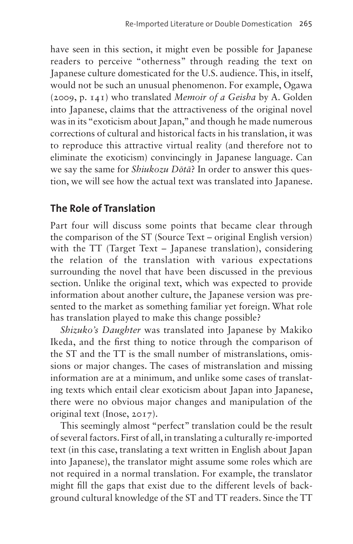have seen in this section, it might even be possible for Japanese readers to perceive "otherness" through reading the text on Japanese culture domesticated for the U.S. audience. This, in itself, would not be such an unusual phenomenon. For example, Ogawa (2009, p. 141) who translated *Memoir of a Geisha* by A. Golden into Japanese, claims that the attractiveness of the original novel was in its "exoticism about Japan," and though he made numerous corrections of cultural and historical facts in his translation, it was to reproduce this attractive virtual reality (and therefore not to eliminate the exoticism) convincingly in Japanese language. Can we say the same for *Shiukozu Dōtā*? In order to answer this question, we will see how the actual text was translated into Japanese.

### **The Role of Translation**

Part four will discuss some points that became clear through the comparison of the ST (Source Text – original English version) with the TT (Target Text – Japanese translation), considering the relation of the translation with various expectations surrounding the novel that have been discussed in the previous section. Unlike the original text, which was expected to provide information about another culture, the Japanese version was presented to the market as something familiar yet foreign. What role has translation played to make this change possible?

*Shizuko's Daughter* was translated into Japanese by Makiko Ikeda, and the first thing to notice through the comparison of the ST and the TT is the small number of mistranslations, omissions or major changes. The cases of mistranslation and missing information are at a minimum, and unlike some cases of translating texts which entail clear exoticism about Japan into Japanese, there were no obvious major changes and manipulation of the original text (Inose, 2017).

This seemingly almost "perfect" translation could be the result of several factors. First of all, in translating a culturally re-imported text (in this case, translating a text written in English about Japan into Japanese), the translator might assume some roles which are not required in a normal translation. For example, the translator might fill the gaps that exist due to the different levels of background cultural knowledge of the ST and TT readers. Since the TT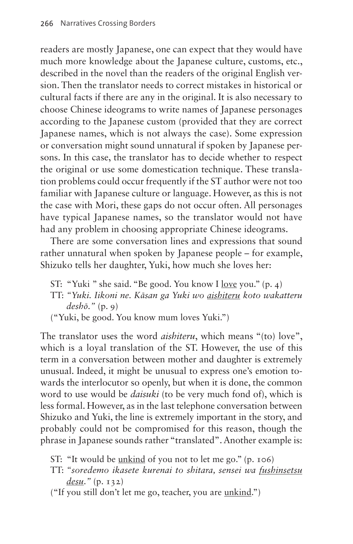readers are mostly Japanese, one can expect that they would have much more knowledge about the Japanese culture, customs, etc., described in the novel than the readers of the original English version. Then the translator needs to correct mistakes in historical or cultural facts if there are any in the original. It is also necessary to choose Chinese ideograms to write names of Japanese personages according to the Japanese custom (provided that they are correct Japanese names, which is not always the case). Some expression or conversation might sound unnatural if spoken by Japanese persons. In this case, the translator has to decide whether to respect the original or use some domestication technique. These translation problems could occur frequently if the ST author were not too familiar with Japanese culture or language. However, as this is not the case with Mori, these gaps do not occur often. All personages have typical Japanese names, so the translator would not have had any problem in choosing appropriate Chinese ideograms.

There are some conversation lines and expressions that sound rather unnatural when spoken by Japanese people – for example, Shizuko tells her daughter, Yuki, how much she loves her:

- ST: "Yuki " she said. "Be good. You know I love you." (p. 4)
- TT: *"Yuki. Iikoni ne. Kāsan ga Yuki wo aishiteru koto wakatteru deshō*.*"* (p. 9)
- ("Yuki, be good. You know mum loves Yuki.")

The translator uses the word *aishiteru*, which means "(to) love", which is a loyal translation of the ST. However, the use of this term in a conversation between mother and daughter is extremely unusual. Indeed, it might be unusual to express one's emotion towards the interlocutor so openly, but when it is done, the common word to use would be *daisuki* (to be very much fond of), which is less formal. However, as in the last telephone conversation between Shizuko and Yuki, the line is extremely important in the story, and probably could not be compromised for this reason, though the phrase in Japanese sounds rather "translated". Another example is:

- ST: "It would be unkind of you not to let me go." (p. 106)
- TT: *"soredemo ikasete kurenai to shitara, sensei wa fushinsetsu desu*.*"* (p. 132)

("If you still don't let me go, teacher, you are unkind.")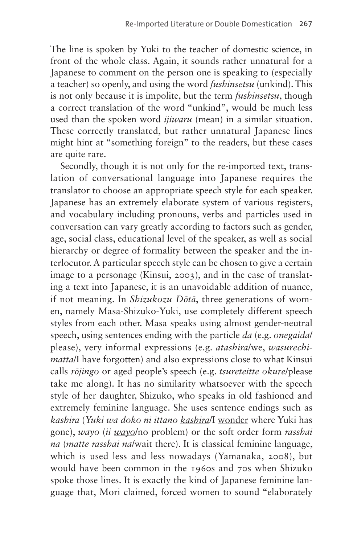The line is spoken by Yuki to the teacher of domestic science, in front of the whole class. Again, it sounds rather unnatural for a Japanese to comment on the person one is speaking to (especially a teacher) so openly, and using the word *fushinsetsu* (unkind). This is not only because it is impolite, but the term *fushinsetsu*, though a correct translation of the word "unkind", would be much less used than the spoken word *ijiwaru* (mean) in a similar situation. These correctly translated, but rather unnatural Japanese lines might hint at "something foreign" to the readers, but these cases are quite rare.

Secondly, though it is not only for the re-imported text, translation of conversational language into Japanese requires the translator to choose an appropriate speech style for each speaker. Japanese has an extremely elaborate system of various registers, and vocabulary including pronouns, verbs and particles used in conversation can vary greatly according to factors such as gender, age, social class, educational level of the speaker, as well as social hierarchy or degree of formality between the speaker and the interlocutor. A particular speech style can be chosen to give a certain image to a personage (Kinsui, 2003), and in the case of translating a text into Japanese, it is an unavoidable addition of nuance, if not meaning. In *Shizukozu Dōtā*, three generations of women, namely Masa-Shizuko-Yuki, use completely different speech styles from each other. Masa speaks using almost gender-neutral speech, using sentences ending with the particle *da* (e.g. *onegaida*/ please), very informal expressions (e.g. *atashira*/we, *wasurechimatta*/I have forgotten) and also expressions close to what Kinsui calls *rōjingo* or aged people's speech (e.g. *tsureteitte okure*/please take me along). It has no similarity whatsoever with the speech style of her daughter, Shizuko, who speaks in old fashioned and extremely feminine language. She uses sentence endings such as *kashira* (*Yuki wa doko ni ittano kashira*/I wonder where Yuki has gone), *wayo* (*ii wayo*/no problem) or the soft order form *rasshai na* (*matte rasshai na*/wait there). It is classical feminine language, which is used less and less nowadays (Yamanaka, 2008), but would have been common in the 1960s and 70s when Shizuko spoke those lines. It is exactly the kind of Japanese feminine language that, Mori claimed, forced women to sound "elaborately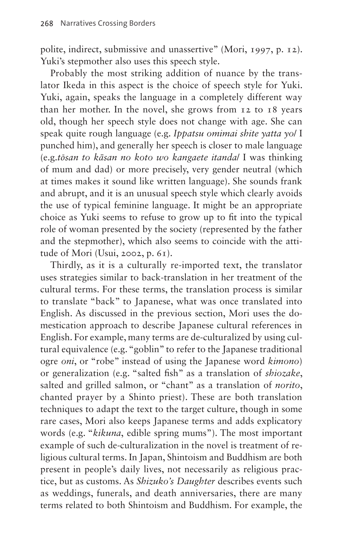polite, indirect, submissive and unassertive" (Mori, 1997, p. 12). Yuki's stepmother also uses this speech style.

Probably the most striking addition of nuance by the translator Ikeda in this aspect is the choice of speech style for Yuki. Yuki, again, speaks the language in a completely different way than her mother. In the novel, she grows from 12 to 18 years old, though her speech style does not change with age. She can speak quite rough language (e.g. *Ippatsu omimai shite yatta yo*/ I punched him), and generally her speech is closer to male language (e.g.*tōsan to kāsan no koto wo kangaete itanda*/ I was thinking of mum and dad) or more precisely, very gender neutral (which at times makes it sound like written language). She sounds frank and abrupt, and it is an unusual speech style which clearly avoids the use of typical feminine language. It might be an appropriate choice as Yuki seems to refuse to grow up to fit into the typical role of woman presented by the society (represented by the father and the stepmother), which also seems to coincide with the attitude of Mori (Usui, 2002, p. 61).

Thirdly, as it is a culturally re-imported text, the translator uses strategies similar to back-translation in her treatment of the cultural terms. For these terms, the translation process is similar to translate "back" to Japanese, what was once translated into English. As discussed in the previous section, Mori uses the domestication approach to describe Japanese cultural references in English. For example, many terms are de-culturalized by using cultural equivalence (e.g. "goblin" to refer to the Japanese traditional ogre *oni*, or "robe" instead of using the Japanese word *kimono*) or generalization (e.g. "salted fish" as a translation of *shiozake*, salted and grilled salmon, or "chant" as a translation of *norito*, chanted prayer by a Shinto priest). These are both translation techniques to adapt the text to the target culture, though in some rare cases, Mori also keeps Japanese terms and adds explicatory words (e.g. "*kikuna*, edible spring mums"). The most important example of such de-culturalization in the novel is treatment of religious cultural terms. In Japan, Shintoism and Buddhism are both present in people's daily lives, not necessarily as religious practice, but as customs. As *Shizuko's Daughter* describes events such as weddings, funerals, and death anniversaries, there are many terms related to both Shintoism and Buddhism. For example, the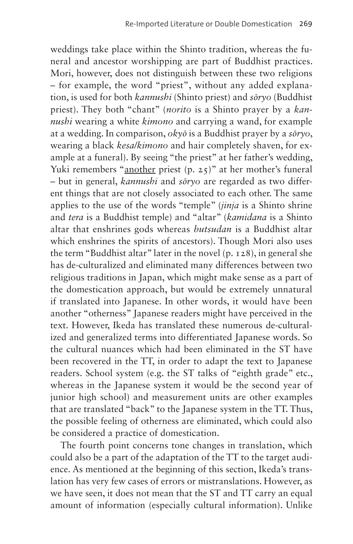weddings take place within the Shinto tradition, whereas the funeral and ancestor worshipping are part of Buddhist practices. Mori, however, does not distinguish between these two religions – for example, the word "priest", without any added explanation, is used for both *kannushi* (Shinto priest) and *sōryo* (Buddhist priest). They both "chant" (*norito* is a Shinto prayer by a *kannushi* wearing a white *kimono* and carrying a wand, for example at a wedding. In comparison, *okyō* is a Buddhist prayer by a *sōryo*, wearing a black *kesa/kimono* and hair completely shaven, for example at a funeral). By seeing "the priest" at her father's wedding, Yuki remembers "another priest (p. 25)" at her mother's funeral – but in general, *kannushi* and *sōryo* are regarded as two different things that are not closely associated to each other. The same applies to the use of the words "temple" (*jinja* is a Shinto shrine and *tera* is a Buddhist temple) and "altar" (*kamidana* is a Shinto altar that enshrines gods whereas *butsudan* is a Buddhist altar which enshrines the spirits of ancestors). Though Mori also uses the term "Buddhist altar" later in the novel (p. 128), in general she has de-culturalized and eliminated many differences between two religious traditions in Japan, which might make sense as a part of the domestication approach, but would be extremely unnatural if translated into Japanese. In other words, it would have been another "otherness" Japanese readers might have perceived in the text. However, Ikeda has translated these numerous de-culturalized and generalized terms into differentiated Japanese words. So the cultural nuances which had been eliminated in the ST have been recovered in the TT, in order to adapt the text to Japanese readers. School system (e.g. the ST talks of "eighth grade" etc., whereas in the Japanese system it would be the second year of junior high school) and measurement units are other examples that are translated "back" to the Japanese system in the TT. Thus, the possible feeling of otherness are eliminated, which could also be considered a practice of domestication.

The fourth point concerns tone changes in translation, which could also be a part of the adaptation of the TT to the target audience. As mentioned at the beginning of this section, Ikeda's translation has very few cases of errors or mistranslations. However, as we have seen, it does not mean that the ST and TT carry an equal amount of information (especially cultural information). Unlike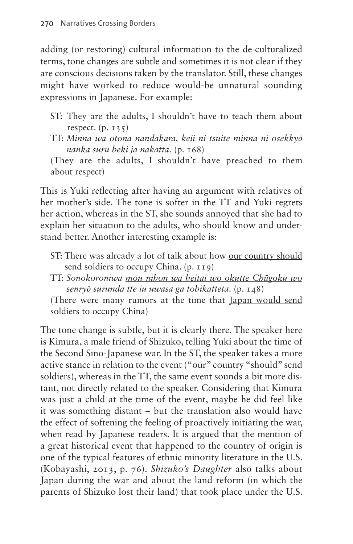adding (or restoring) cultural information to the de-culturalized terms, tone changes are subtle and sometimes it is not clear if they are conscious decisions taken by the translator. Still, these changes might have worked to reduce would-be unnatural sounding expressions in Japanese. For example:

- ST: They are the adults, I shouldn't have to teach them about respect.  $(p. 135)$
- TT: *Minna wa otona nandakara, keii ni tsuite minna ni osekkyō nanka suru beki ja nakatta*. (p. 168)

(They are the adults, I shouldn't have preached to them about respect)

This is Yuki reflecting after having an argument with relatives of her mother's side. The tone is softer in the TT and Yuki regrets her action, whereas in the ST, she sounds annoyed that she had to explain her situation to the adults, who should know and understand better. Another interesting example is:

- ST: There was already a lot of talk about how our country should send soldiers to occupy China. (p. 119)
- TT: *Sonokoroniwa mou nihon wa heitai wo okutte Chūgoku wo senryō surunda tte iu uwasa ga tobikatteta*. (p. 148)

(There were many rumors at the time that Japan would send soldiers to occupy China)

The tone change is subtle, but it is clearly there. The speaker here is Kimura, a male friend of Shizuko, telling Yuki about the time of the Second Sino-Japanese war. In the ST, the speaker takes a more active stance in relation to the event ("our" country "should" send soldiers), whereas in the TT, the same event sounds a bit more distant, not directly related to the speaker. Considering that Kimura was just a child at the time of the event, maybe he did feel like it was something distant – but the translation also would have the effect of softening the feeling of proactively initiating the war, when read by Japanese readers. It is argued that the mention of a great historical event that happened to the country of origin is one of the typical features of ethnic minority literature in the U.S. (Kobayashi, 2013, p. 76). *Shizuko's Daughter* also talks about Japan during the war and about the land reform (in which the parents of Shizuko lost their land) that took place under the U.S.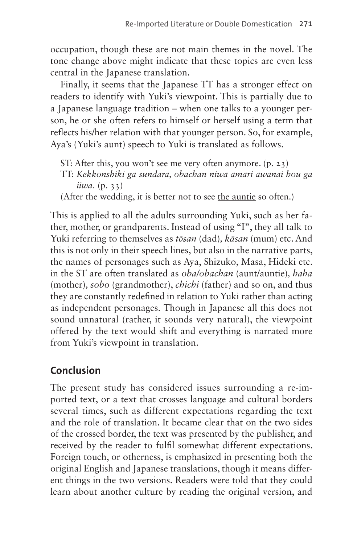occupation, though these are not main themes in the novel. The tone change above might indicate that these topics are even less central in the Japanese translation.

Finally, it seems that the Japanese TT has a stronger effect on readers to identify with Yuki's viewpoint. This is partially due to a Japanese language tradition – when one talks to a younger person, he or she often refers to himself or herself using a term that reflects his/her relation with that younger person. So, for example, Aya's (Yuki's aunt) speech to Yuki is translated as follows.

ST: After this, you won't see me very often anymore. (p. 23) TT: *Kekkonshiki ga sundara, obachan niwa amari awanai hou ga iiwa*. (p. 33)

(After the wedding, it is better not to see the auntie so often.)

This is applied to all the adults surrounding Yuki, such as her father, mother, or grandparents. Instead of using "I", they all talk to Yuki referring to themselves as *tōsan* (dad)*, kāsan* (mum) etc. And this is not only in their speech lines, but also in the narrative parts, the names of personages such as Aya, Shizuko, Masa, Hideki etc. in the ST are often translated as *oba/obachan* (aunt/auntie)*, haha*  (mother)*, sobo* (grandmother), *chichi* (father) and so on, and thus they are constantly redefined in relation to Yuki rather than acting as independent personages. Though in Japanese all this does not sound unnatural (rather, it sounds very natural), the viewpoint offered by the text would shift and everything is narrated more from Yuki's viewpoint in translation.

## **Conclusion**

The present study has considered issues surrounding a re-imported text, or a text that crosses language and cultural borders several times, such as different expectations regarding the text and the role of translation. It became clear that on the two sides of the crossed border, the text was presented by the publisher, and received by the reader to fulfil somewhat different expectations. Foreign touch, or otherness, is emphasized in presenting both the original English and Japanese translations, though it means different things in the two versions. Readers were told that they could learn about another culture by reading the original version, and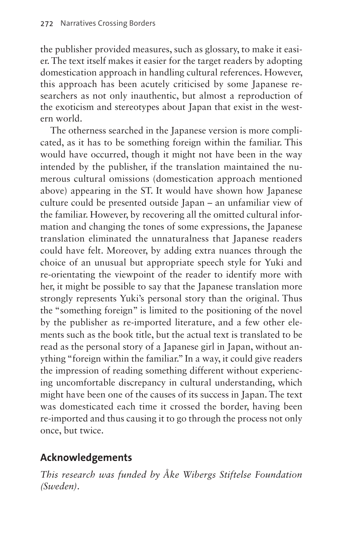the publisher provided measures, such as glossary, to make it easier. The text itself makes it easier for the target readers by adopting domestication approach in handling cultural references. However, this approach has been acutely criticised by some Japanese researchers as not only inauthentic, but almost a reproduction of the exoticism and stereotypes about Japan that exist in the western world.

The otherness searched in the Japanese version is more complicated, as it has to be something foreign within the familiar. This would have occurred, though it might not have been in the way intended by the publisher, if the translation maintained the numerous cultural omissions (domestication approach mentioned above) appearing in the ST. It would have shown how Japanese culture could be presented outside Japan – an unfamiliar view of the familiar. However, by recovering all the omitted cultural information and changing the tones of some expressions, the Japanese translation eliminated the unnaturalness that Japanese readers could have felt. Moreover, by adding extra nuances through the choice of an unusual but appropriate speech style for Yuki and re-orientating the viewpoint of the reader to identify more with her, it might be possible to say that the Japanese translation more strongly represents Yuki's personal story than the original. Thus the "something foreign" is limited to the positioning of the novel by the publisher as re-imported literature, and a few other elements such as the book title, but the actual text is translated to be read as the personal story of a Japanese girl in Japan, without anything "foreign within the familiar." In a way, it could give readers the impression of reading something different without experiencing uncomfortable discrepancy in cultural understanding, which might have been one of the causes of its success in Japan. The text was domesticated each time it crossed the border, having been re-imported and thus causing it to go through the process not only once, but twice.

## **Acknowledgements**

*This research was funded by Åke Wibergs Stiftelse Foundation (Sweden)*.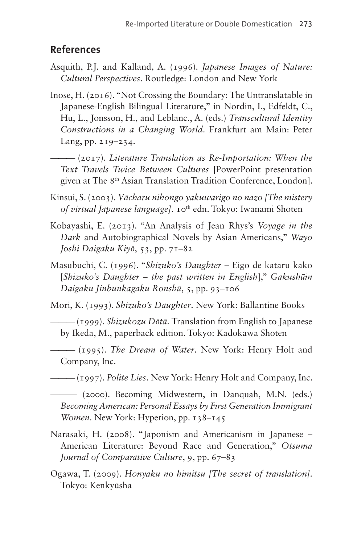#### **References**

- Asquith, P.J. and Kalland, A. (1996). *Japanese Images of Nature: Cultural Perspectives*. Routledge: London and New York
- Inose, H. (2016). "Not Crossing the Boundary: The Untranslatable in Japanese-English Bilingual Literature," in Nordin, I., Edfeldt, C., Hu, L., Jonsson, H., and Leblanc., A. (eds.) *Transcultural Identity Constructions in a Changing World*. Frankfurt am Main: Peter Lang, pp. 219–234.

——— (2017). *Literature Translation as Re-Importation: When the Text Travels Twice Between Cultures* [PowerPoint presentation given at The 8th Asian Translation Tradition Conference, London].

Kinsui, S. (2003). *Vācharu nihongo yakuwarigo no nazo [The mistery of virtual Japanese language]*. 10th edn. Tokyo: Iwanami Shoten

- Kobayashi, E. (2013). "An Analysis of Jean Rhys's *Voyage in the Dark* and Autobiographical Novels by Asian Americans," *Wayo Joshi Daigaku Kiyō*, 53, pp. 71–82
- Masubuchi, C. (1996). "*Shizuko's Daughter* Eigo de kataru kako [*Shizuko's Daughter – the past written in English*]," *Gakushūin Daigaku Jinbunkagaku Ronshū*, 5, pp. 93–106

Mori, K. (1993). *Shizuko's Daughter*. New York: Ballantine Books

——— (1999). *Shizukozu Dōtā*. Translation from English to Japanese by Ikeda, M., paperback edition. Tokyo: Kadokawa Shoten

——— (1995). *The Dream of Water*. New York: Henry Holt and Company, Inc.

——— (1997). *Polite Lies*. New York: Henry Holt and Company, Inc.

——— (2000). Becoming Midwestern, in Danquah, M.N. (eds.) *Becoming American: Personal Essays by First Generation Immigrant Women*. New York: Hyperion, pp. 138–145

Narasaki, H. (2008). "Japonism and Americanism in Japanese – American Literature: Beyond Race and Generation," *Otsuma Journal of Comparative Culture*, 9, pp. 67–83

Ogawa, T. (2009). *Honyaku no himitsu [The secret of translation]*. Tokyo: Kenkyūsha